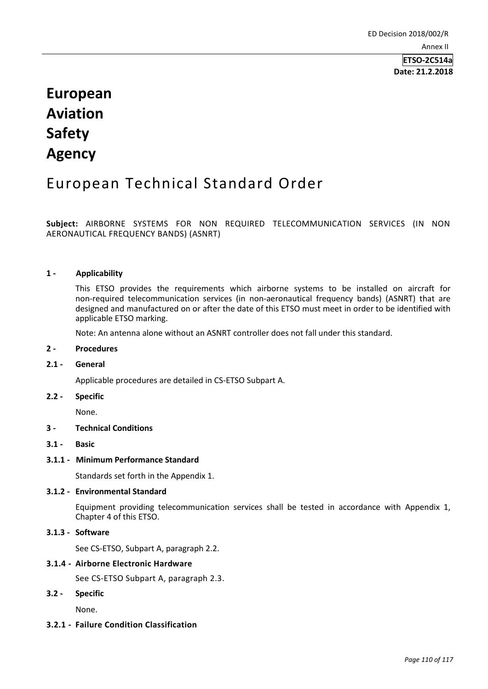# **European Aviation Safety Agency**

# European Technical Standard Order

**Subject:** AIRBORNE SYSTEMS FOR NON REQUIRED TELECOMMUNICATION SERVICES (IN NON AERONAUTICAL FREQUENCY BANDS) (ASNRT)

# **1 - Applicability**

This ETSO provides the requirements which airborne systems to be installed on aircraft for non-required telecommunication services (in non-aeronautical frequency bands) (ASNRT) that are designed and manufactured on or after the date of this ETSO must meet in order to be identified with applicable ETSO marking.

Note: An antenna alone without an ASNRT controller does not fall under this standard.

# **2 - Procedures**

#### **2.1 - General**

Applicable procedures are detailed in CS-ETSO Subpart A.

#### **2.2 - Specific**

None.

# **3 - Technical Conditions**

**3.1 - Basic**

#### **3.1.1 - Minimum Performance Standard**

Standards set forth in the Appendix 1.

#### **3.1.2 - Environmental Standard**

Equipment providing telecommunication services shall be tested in accordance with Appendix 1, Chapter 4 of this ETSO.

# **3.1.3 - Software**

See CS-ETSO, Subpart A, paragraph 2.2.

#### **3.1.4 - Airborne Electronic Hardware**

See CS-ETSO Subpart A, paragraph 2.3.

#### **3.2 - Specific**

None.

# **3.2.1 - Failure Condition Classification**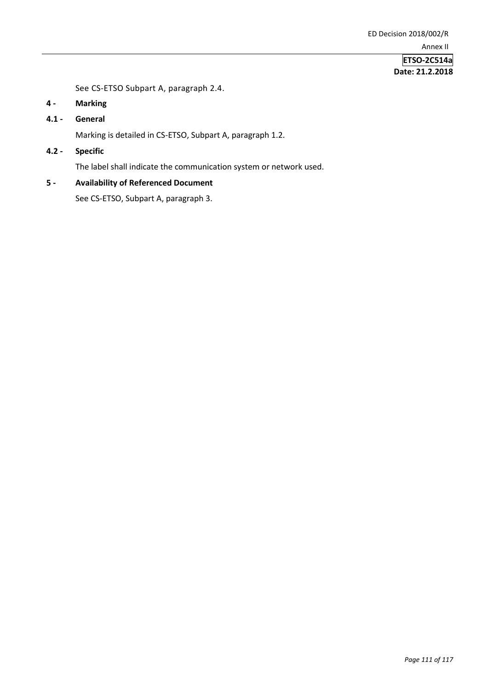See CS-ETSO Subpart A, paragraph 2.4.

- **4 - Marking**
- **4.1 - General**

Marking is detailed in CS-ETSO, Subpart A, paragraph 1.2.

**4.2 - Specific**

The label shall indicate the communication system or network used.

# **5 - Availability of Referenced Document**

See CS-ETSO, Subpart A, paragraph 3.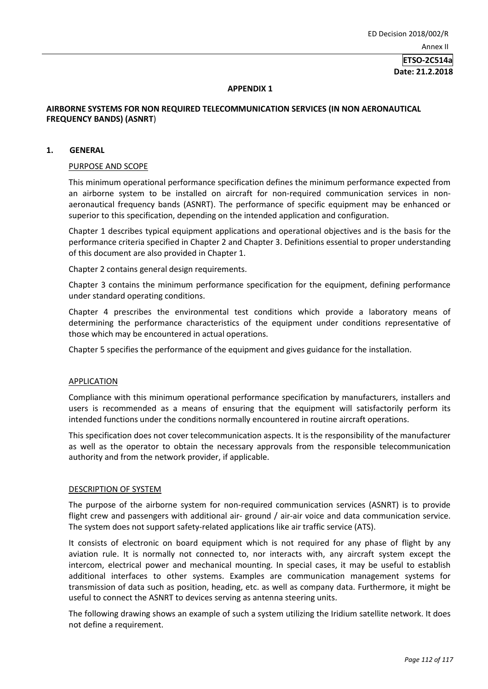#### **APPENDIX 1**

# **AIRBORNE SYSTEMS FOR NON REQUIRED TELECOMMUNICATION SERVICES (IN NON AERONAUTICAL FREQUENCY BANDS) (ASNRT**)

#### **1. GENERAL**

### PURPOSE AND SCOPE

This minimum operational performance specification defines the minimum performance expected from an airborne system to be installed on aircraft for non-required communication services in nonaeronautical frequency bands (ASNRT). The performance of specific equipment may be enhanced or superior to this specification, depending on the intended application and configuration.

Chapter 1 describes typical equipment applications and operational objectives and is the basis for the performance criteria specified in Chapter 2 and Chapter 3. Definitions essential to proper understanding of this document are also provided in Chapter 1.

Chapter 2 contains general design requirements.

Chapter 3 contains the minimum performance specification for the equipment, defining performance under standard operating conditions.

Chapter 4 prescribes the environmental test conditions which provide a laboratory means of determining the performance characteristics of the equipment under conditions representative of those which may be encountered in actual operations.

Chapter 5 specifies the performance of the equipment and gives guidance for the installation.

#### APPLICATION

Compliance with this minimum operational performance specification by manufacturers, installers and users is recommended as a means of ensuring that the equipment will satisfactorily perform its intended functions under the conditions normally encountered in routine aircraft operations.

This specification does not cover telecommunication aspects. It is the responsibility of the manufacturer as well as the operator to obtain the necessary approvals from the responsible telecommunication authority and from the network provider, if applicable.

#### DESCRIPTION OF SYSTEM

The purpose of the airborne system for non-required communication services (ASNRT) is to provide flight crew and passengers with additional air- ground / air-air voice and data communication service. The system does not support safety-related applications like air traffic service (ATS).

It consists of electronic on board equipment which is not required for any phase of flight by any aviation rule. It is normally not connected to, nor interacts with, any aircraft system except the intercom, electrical power and mechanical mounting. In special cases, it may be useful to establish additional interfaces to other systems. Examples are communication management systems for transmission of data such as position, heading, etc. as well as company data. Furthermore, it might be useful to connect the ASNRT to devices serving as antenna steering units.

The following drawing shows an example of such a system utilizing the Iridium satellite network. It does not define a requirement.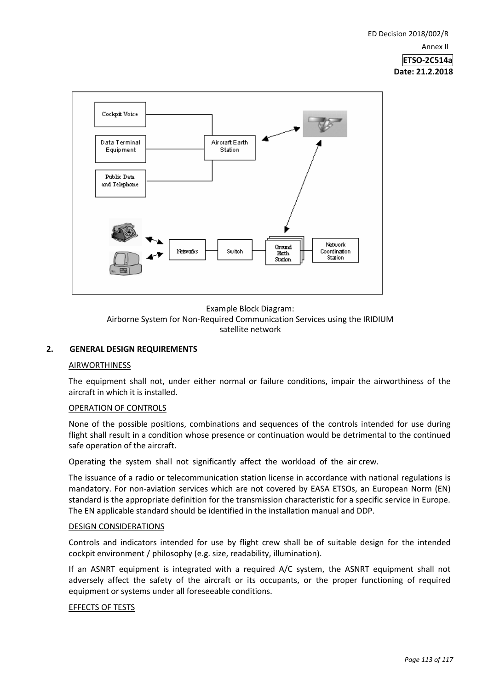

Example Block Diagram: Airborne System for Non-Required Communication Services using the IRIDIUM satellite network

# **2. GENERAL DESIGN REQUIREMENTS**

# AIRWORTHINESS

The equipment shall not, under either normal or failure conditions, impair the airworthiness of the aircraft in which it is installed.

# OPERATION OF CONTROLS

None of the possible positions, combinations and sequences of the controls intended for use during flight shall result in a condition whose presence or continuation would be detrimental to the continued safe operation of the aircraft.

Operating the system shall not significantly affect the workload of the air crew.

The issuance of a radio or telecommunication station license in accordance with national regulations is mandatory. For non-aviation services which are not covered by EASA ETSOs, an European Norm (EN) standard is the appropriate definition for the transmission characteristic for a specific service in Europe. The EN applicable standard should be identified in the installation manual and DDP.

#### DESIGN CONSIDERATIONS

Controls and indicators intended for use by flight crew shall be of suitable design for the intended cockpit environment / philosophy (e.g. size, readability, illumination).

If an ASNRT equipment is integrated with a required A/C system, the ASNRT equipment shall not adversely affect the safety of the aircraft or its occupants, or the proper functioning of required equipment or systems under all foreseeable conditions.

# EFFECTS OF TESTS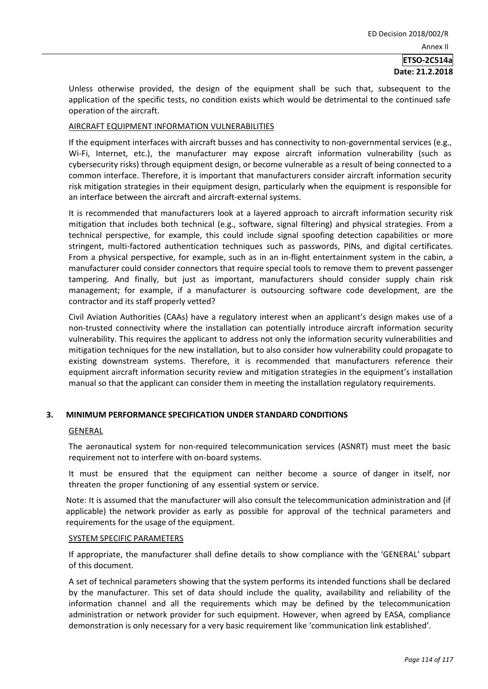Unless otherwise provided, the design of the equipment shall be such that, subsequent to the application of the specific tests, no condition exists which would be detrimental to the continued safe operation of the aircraft.

#### AIRCRAFT EQUIPMENT INFORMATION VULNERABILITIES

If the equipment interfaces with aircraft busses and has connectivity to non-governmental services (e.g., Wi-Fi, Internet, etc.), the manufacturer may expose aircraft information vulnerability (such as cybersecurity risks) through equipment design, or become vulnerable as a result of being connected to a common interface. Therefore, it is important that manufacturers consider aircraft information security risk mitigation strategies in their equipment design, particularly when the equipment is responsible for an interface between the aircraft and aircraft-external systems.

It is recommended that manufacturers look at a layered approach to aircraft information security risk mitigation that includes both technical (e.g., software, signal filtering) and physical strategies. From a technical perspective, for example, this could include signal spoofing detection capabilities or more stringent, multi-factored authentication techniques such as passwords, PINs, and digital certificates. From a physical perspective, for example, such as in an in-flight entertainment system in the cabin, a manufacturer could consider connectors that require special tools to remove them to prevent passenger tampering. And finally, but just as important, manufacturers should consider supply chain risk management; for example, if a manufacturer is outsourcing software code development, are the contractor and its staff properly vetted?

Civil Aviation Authorities (CAAs) have a regulatory interest when an applicant's design makes use of a non-trusted connectivity where the installation can potentially introduce aircraft information security vulnerability. This requires the applicant to address not only the information security vulnerabilities and mitigation techniques for the new installation, but to also consider how vulnerability could propagate to existing downstream systems. Therefore, it is recommended that manufacturers reference their equipment aircraft information security review and mitigation strategies in the equipment's installation manual so that the applicant can consider them in meeting the installation regulatory requirements.

# **3. MINIMUM PERFORMANCE SPECIFICATION UNDER STANDARD CONDITIONS**

#### GENERAL

The aeronautical system for non-required telecommunication services (ASNRT) must meet the basic requirement not to interfere with on-board systems.

It must be ensured that the equipment can neither become a source of danger in itself, nor threaten the proper functioning of any essential system or service.

Note: It is assumed that the manufacturer will also consult the telecommunication administration and (if applicable) the network provider as early as possible for approval of the technical parameters and requirements for the usage of the equipment.

#### SYSTEM SPECIFIC PARAMETERS

If appropriate, the manufacturer shall define details to show compliance with the 'GENERAL' subpart of this document.

A set of technical parameters showing that the system performs its intended functions shall be declared by the manufacturer. This set of data should include the quality, availability and reliability of the information channel and all the requirements which may be defined by the telecommunication administration or network provider for such equipment. However, when agreed by EASA, compliance demonstration is only necessary for a very basic requirement like 'communication link established'.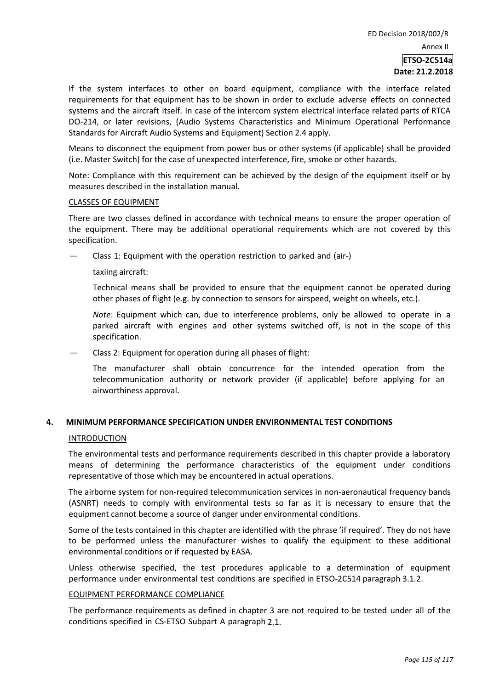If the system interfaces to other on board equipment, compliance with the interface related requirements for that equipment has to be shown in order to exclude adverse effects on connected systems and the aircraft itself. In case of the intercom system electrical interface related parts of RTCA DO-214, or later revisions, (Audio Systems Characteristics and Minimum Operational Performance Standards for Aircraft Audio Systems and Equipment) Section 2.4 apply.

Means to disconnect the equipment from power bus or other systems (if applicable) shall be provided (i.e. Master Switch) for the case of unexpected interference, fire, smoke or other hazards.

Note: Compliance with this requirement can be achieved by the design of the equipment itself or by measures described in the installation manual.

#### CLASSES OF EQUIPMENT

There are two classes defined in accordance with technical means to ensure the proper operation of the equipment. There may be additional operational requirements which are not covered by this specification.

— Class 1: Equipment with the operation restriction to parked and (air-)

taxiing aircraft:

Technical means shall be provided to ensure that the equipment cannot be operated during other phases of flight (e.g. by connection to sensors for airspeed, weight on wheels, etc.).

*Note*: Equipment which can, due to interference problems, only be allowed to operate in a parked aircraft with engines and other systems switched off, is not in the scope of this specification.

Class 2: Equipment for operation during all phases of flight:

The manufacturer shall obtain concurrence for the intended operation from the telecommunication authority or network provider (if applicable) before applying for an airworthiness approval.

#### **4. MINIMUM PERFORMANCE SPECIFICATION UNDER ENVIRONMENTAL TEST CONDITIONS**

#### **INTRODUCTION**

The environmental tests and performance requirements described in this chapter provide a laboratory means of determining the performance characteristics of the equipment under conditions representative of those which may be encountered in actual operations.

The airborne system for non-required telecommunication services in non-aeronautical frequency bands (ASNRT) needs to comply with environmental tests so far as it is necessary to ensure that the equipment cannot become a source of danger under environmental conditions.

Some of the tests contained in this chapter are identified with the phrase 'if required'. They do not have to be performed unless the manufacturer wishes to qualify the equipment to these additional environmental conditions or if requested by EASA.

Unless otherwise specified, the test procedures applicable to a determination of equipment performance under environmental test conditions are specified in ETSO-2C514 paragraph 3.1.2.

#### EQUIPMENT PERFORMANCE COMPLIANCE

The performance requirements as defined in chapter 3 are not required to be tested under all of the conditions specified in CS-ETSO Subpart A paragraph 2.1.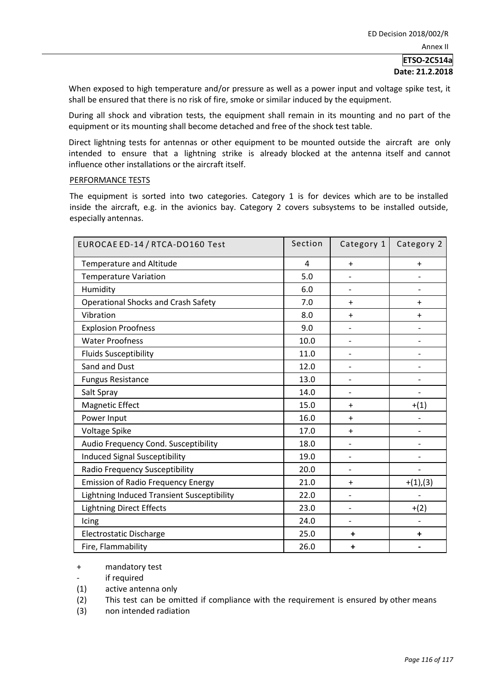# **ETSO-2C514a**

#### **Date: 21.2.2018**

When exposed to high temperature and/or pressure as well as a power input and voltage spike test, it shall be ensured that there is no risk of fire, smoke or similar induced by the equipment.

During all shock and vibration tests, the equipment shall remain in its mounting and no part of the equipment or its mounting shall become detached and free of the shock test table.

Direct lightning tests for antennas or other equipment to be mounted outside the aircraft are only intended to ensure that a lightning strike is already blocked at the antenna itself and cannot influence other installations or the aircraft itself.

#### PERFORMANCE TESTS

The equipment is sorted into two categories. Category 1 is for devices which are to be installed inside the aircraft, e.g. in the avionics bay. Category 2 covers subsystems to be installed outside, especially antennas.

| EUROCAE ED-14 / RTCA-DO160 Test            | Section | Category 1               | Category 2               |
|--------------------------------------------|---------|--------------------------|--------------------------|
| <b>Temperature and Altitude</b>            | 4       | $+$                      | $+$                      |
| <b>Temperature Variation</b>               | 5.0     |                          |                          |
| Humidity                                   | 6.0     | $\overline{\phantom{0}}$ | $\overline{\phantom{0}}$ |
| <b>Operational Shocks and Crash Safety</b> | 7.0     | $\ddot{}$                | $\ddot{}$                |
| Vibration                                  | 8.0     | $+$                      | $+$                      |
| <b>Explosion Proofness</b>                 | 9.0     |                          |                          |
| <b>Water Proofness</b>                     | 10.0    | $\overline{\phantom{0}}$ |                          |
| <b>Fluids Susceptibility</b>               | 11.0    | $\overline{a}$           |                          |
| Sand and Dust                              | 12.0    | $\overline{\phantom{0}}$ |                          |
| <b>Fungus Resistance</b>                   | 13.0    |                          |                          |
| Salt Spray                                 | 14.0    | $\overline{\phantom{0}}$ |                          |
| Magnetic Effect                            | 15.0    | $\ddot{}$                | $+(1)$                   |
| Power Input                                | 16.0    | $\ddot{}$                |                          |
| Voltage Spike                              | 17.0    | $\ddot{}$                | $\overline{a}$           |
| Audio Frequency Cond. Susceptibility       | 18.0    | $\overline{\phantom{a}}$ | $\overline{\phantom{0}}$ |
| <b>Induced Signal Susceptibility</b>       | 19.0    | $\overline{\phantom{0}}$ | $\overline{a}$           |
| Radio Frequency Susceptibility             | 20.0    | $\overline{\phantom{0}}$ | $\overline{a}$           |
| <b>Emission of Radio Frequency Energy</b>  | 21.0    | $\ddot{}$                | $+(1),(3)$               |
| Lightning Induced Transient Susceptibility | 22.0    | $\overline{\phantom{0}}$ |                          |
| <b>Lightning Direct Effects</b>            | 23.0    | $\overline{\phantom{a}}$ | $+(2)$                   |
| Icing                                      | 24.0    | $\overline{\phantom{0}}$ |                          |
| Electrostatic Discharge                    | 25.0    | $\ddot{}$                | $\ddot{}$                |
| Fire, Flammability                         | 26.0    | $\ddot{}$                |                          |

+ mandatory test

if required

- (1) active antenna only
- (2) This test can be omitted if compliance with the requirement is ensured by other means
- (3) non intended radiation